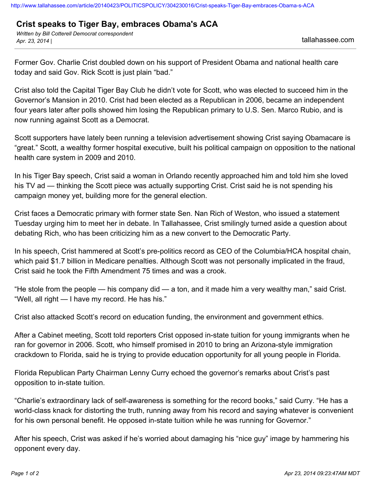## **Crist speaks to Tiger Bay, embraces Obama's ACA**

*Written by Bill Cotterell Democrat correspondent Apr. 23, 2014 |* tallahassee.com

Former Gov. Charlie Crist doubled down on his support of President Obama and national health care today and said Gov. Rick Scott is just plain "bad."

Crist also told the Capital Tiger Bay Club he didn't vote for Scott, who was elected to succeed him in the Governor's Mansion in 2010. Crist had been elected as a Republican in 2006, became an independent four years later after polls showed him losing the Republican primary to U.S. Sen. Marco Rubio, and is now running against Scott as a Democrat.

Scott supporters have lately been running a television advertisement showing Crist saying Obamacare is "great." Scott, a wealthy former hospital executive, built his political campaign on opposition to the national health care system in 2009 and 2010.

In his Tiger Bay speech, Crist said a woman in Orlando recently approached him and told him she loved his TV ad — thinking the Scott piece was actually supporting Crist. Crist said he is not spending his campaign money yet, building more for the general election.

Crist faces a Democratic primary with former state Sen. Nan Rich of Weston, who issued a statement Tuesday urging him to meet her in debate. In Tallahassee, Crist smilingly turned aside a question about debating Rich, who has been criticizing him as a new convert to the Democratic Party.

In his speech, Crist hammered at Scott's pre-politics record as CEO of the Columbia/HCA hospital chain, which paid \$1.7 billion in Medicare penalties. Although Scott was not personally implicated in the fraud, Crist said he took the Fifth Amendment 75 times and was a crook.

"He stole from the people — his company did — a ton, and it made him a very wealthy man," said Crist. "Well, all right — I have my record. He has his."

Crist also attacked Scott's record on education funding, the environment and government ethics.

After a Cabinet meeting, Scott told reporters Crist opposed in-state tuition for young immigrants when he ran for governor in 2006. Scott, who himself promised in 2010 to bring an Arizona-style immigration crackdown to Florida, said he is trying to provide education opportunity for all young people in Florida.

Florida Republican Party Chairman Lenny Curry echoed the governor's remarks about Crist's past opposition to in-state tuition.

"Charlie's extraordinary lack of self-awareness is something for the record books," said Curry. "He has a world-class knack for distorting the truth, running away from his record and saying whatever is convenient for his own personal benefit. He opposed in-state tuition while he was running for Governor."

After his speech, Crist was asked if he's worried about damaging his "nice guy" image by hammering his opponent every day.